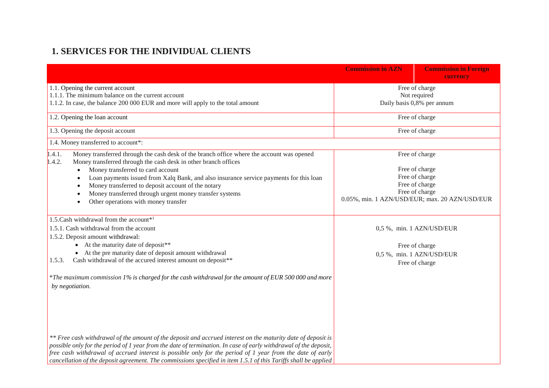## **1. SERVICES FOR THE INDIVIDUAL CLIENTS**

|                                                                                                                                                                                                                                                                                                                                                                                                                                                                                                                                                                                             | <b>Commission in AZN</b> | <b>Commission in Foreign</b><br>currency                                                                                                 |
|---------------------------------------------------------------------------------------------------------------------------------------------------------------------------------------------------------------------------------------------------------------------------------------------------------------------------------------------------------------------------------------------------------------------------------------------------------------------------------------------------------------------------------------------------------------------------------------------|--------------------------|------------------------------------------------------------------------------------------------------------------------------------------|
| 1.1. Opening the current account<br>1.1.1. The minimum balance on the current account<br>1.1.2. In case, the balance 200 000 EUR and more will apply to the total amount                                                                                                                                                                                                                                                                                                                                                                                                                    |                          | Free of charge<br>Not required<br>Daily basis 0,8% per annum                                                                             |
| 1.2. Opening the loan account                                                                                                                                                                                                                                                                                                                                                                                                                                                                                                                                                               |                          | Free of charge                                                                                                                           |
| 1.3. Opening the deposit account                                                                                                                                                                                                                                                                                                                                                                                                                                                                                                                                                            |                          | Free of charge                                                                                                                           |
| 1.4. Money transferred to account*:                                                                                                                                                                                                                                                                                                                                                                                                                                                                                                                                                         |                          |                                                                                                                                          |
| 1.4.1.<br>Money transferred through the cash desk of the branch office where the account was opened<br>1.4.2.<br>Money transferred through the cash desk in other branch offices<br>Money transferred to card account<br>$\bullet$<br>Loan payments issued from Xalq Bank, and also insurance service payments for this loan<br>$\bullet$<br>Money transferred to deposit account of the notary<br>$\bullet$<br>Money transferred through urgent money transfer systems<br>$\bullet$<br>Other operations with money transfer<br>$\bullet$                                                   |                          | Free of charge<br>Free of charge<br>Free of charge<br>Free of charge<br>Free of charge<br>0.05%, min. 1 AZN/USD/EUR; max. 20 AZN/USD/EUR |
| 1.5. Cash withdrawal from the account*1<br>1.5.1. Cash withdrawal from the account<br>1.5.2. Deposit amount withdrawal:<br>• At the maturity date of deposit **<br>• At the pre maturity date of deposit amount withdrawal<br>Cash withdrawal of the accured interest amount on deposit**<br>1.5.3.                                                                                                                                                                                                                                                                                         |                          | 0,5 %, min. 1 AZN/USD/EUR<br>Free of charge<br>0,5 %, min. 1 AZN/USD/EUR<br>Free of charge                                               |
| *The maximum commission 1% is charged for the cash withdrawal for the amount of EUR 500 000 and more<br>by negotiation.<br>** Free cash withdrawal of the amount of the deposit and accrued interest on the maturity date of deposit is<br>possible only for the period of 1 year from the date of termination. In case of early withdrawal of the deposit,<br>free cash withdrawal of accrued interest is possible only for the period of 1 year from the date of early<br>cancellation of the deposit agreement. The commissions specified in item 1.5.1 of this Tariffs shall be applied |                          |                                                                                                                                          |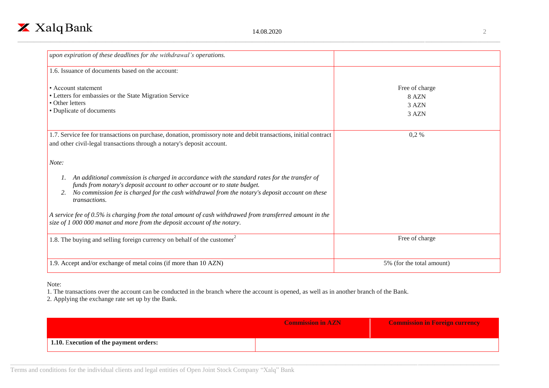

| upon expiration of these deadlines for the withdrawal's operations.                                                                                                                                                                                                                   |                                           |
|---------------------------------------------------------------------------------------------------------------------------------------------------------------------------------------------------------------------------------------------------------------------------------------|-------------------------------------------|
| 1.6. Issuance of documents based on the account:                                                                                                                                                                                                                                      |                                           |
| • Account statement<br>• Letters for embassies or the State Migration Service<br>• Other letters<br>• Duplicate of documents                                                                                                                                                          | Free of charge<br>8 AZN<br>3 AZN<br>3 AZN |
| 1.7. Service fee for transactions on purchase, donation, promissory note and debit transactions, initial contract<br>and other civil-legal transactions through a notary's deposit account.                                                                                           | $0.2\%$                                   |
| Note:<br>An additional commission is charged in accordance with the standard rates for the transfer of<br>funds from notary's deposit account to other account or to state budget.<br>No commission fee is charged for the cash withdrawal from the notary's deposit account on these |                                           |
| <i>transactions.</i><br>A service fee of 0.5% is charging from the total amount of cash withdrawed from transferred amount in the<br>size of 1 000 000 manat and more from the deposit account of the notary.                                                                         |                                           |
| 1.8. The buying and selling foreign currency on behalf of the customer                                                                                                                                                                                                                | Free of charge                            |
| 1.9. Accept and/or exchange of metal coins (if more than 10 AZN)                                                                                                                                                                                                                      | 5% (for the total amount)                 |

## Note:

1. The transactions over the account can be conducted in the branch where the account is opened, as well as in another branch of the Bank.

2. Applying the exchange rate set up by the Bank.

|                                        | <b>Commission in AZN</b> | <b>Commission in Foreign currency</b> |
|----------------------------------------|--------------------------|---------------------------------------|
| 1.10. Execution of the payment orders: |                          |                                       |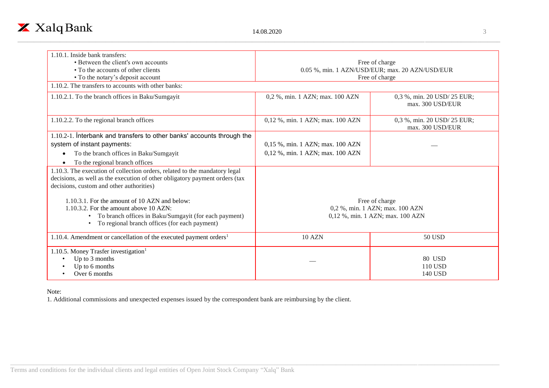

| 1.10.1. Inside bank transfers:                                                                                                                                                                        |                                                                     |                                                 |
|-------------------------------------------------------------------------------------------------------------------------------------------------------------------------------------------------------|---------------------------------------------------------------------|-------------------------------------------------|
| • Between the client's own accounts                                                                                                                                                                   | Free of charge                                                      |                                                 |
| • To the accounts of other clients                                                                                                                                                                    | 0.05 %, min. 1 AZN/USD/EUR; max. 20 AZN/USD/EUR                     |                                                 |
| • To the notary's deposit account                                                                                                                                                                     |                                                                     | Free of charge                                  |
| 1.10.2. The transfers to accounts with other banks:                                                                                                                                                   |                                                                     |                                                 |
| 1.10.2.1. To the branch offices in Baku/Sumgayit                                                                                                                                                      | 0,2 %, min. 1 AZN; max. 100 AZN                                     | 0,3 %, min. 20 USD/ 25 EUR;<br>max. 300 USD/EUR |
| 1.10.2.2. To the regional branch offices                                                                                                                                                              | 0,12 %, min. 1 AZN; max. 100 AZN                                    | 0,3 %, min. 20 USD/ 25 EUR;<br>max. 300 USD/EUR |
| 1.10.2-1. Interbank and transfers to other banks' accounts through the                                                                                                                                |                                                                     |                                                 |
| system of instant payments:                                                                                                                                                                           | 0,15 %, min. 1 AZN; max. 100 AZN                                    |                                                 |
| To the branch offices in Baku/Sumgayit                                                                                                                                                                | 0,12 %, min. 1 AZN; max. 100 AZN                                    |                                                 |
| To the regional branch offices                                                                                                                                                                        |                                                                     |                                                 |
| 1.10.3. The execution of collection orders, related to the mandatory legal<br>decisions, as well as the execution of other obligatory payment orders (tax<br>decisions, custom and other authorities) |                                                                     |                                                 |
| 1.10.3.1. For the amount of 10 AZN and below:                                                                                                                                                         | Free of charge                                                      |                                                 |
| 1.10.3.2. For the amount above 10 AZN:<br>• To branch offices in Baku/Sumgayit (for each payment)<br>To regional branch offices (for each payment)                                                    | 0,2 %, min. 1 AZN; max. 100 AZN<br>0,12 %, min. 1 AZN; max. 100 AZN |                                                 |
| 1.10.4. Amendment or cancellation of the executed payment orders <sup>1</sup>                                                                                                                         | <b>10 AZN</b>                                                       | 50 USD                                          |
| 1.10.5. Money Trasfer investigation <sup>1</sup><br>Up to 3 months<br>Up to 6 months<br>Over 6 months                                                                                                 |                                                                     | 80 USD<br>110 USD<br>140 USD                    |

Note:

1. Additional commissions and unexpected expenses issued by the correspondent bank are reimbursing by the client.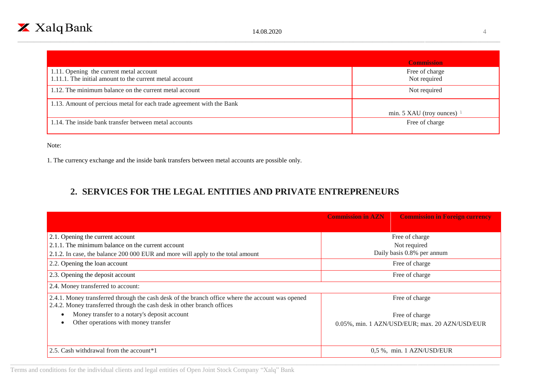|                                                                                                    | <b>Commission</b>              |
|----------------------------------------------------------------------------------------------------|--------------------------------|
| 1.11. Opening the current metal account<br>1.11.1. The initial amount to the current metal account | Free of charge<br>Not required |
| 1.12. The minimum balance on the current metal account                                             | Not required                   |
| 1.13. Amount of percious metal for each trade agreement with the Bank                              |                                |
|                                                                                                    | min. 5 XAU (troy ounces) $1$   |
| 1.14. The inside bank transfer between metal accounts                                              | Free of charge                 |

Note:

1. The currency exchange and the inside bank transfers between metal accounts are possible only.

## **2. SERVICES FOR THE LEGAL ENTITIES AND PRIVATE ENTREPRENEURS**

|                                                                                                                                                                            | <b>Commission in AZN</b>   | <b>Commission in Foreign currency</b>          |
|----------------------------------------------------------------------------------------------------------------------------------------------------------------------------|----------------------------|------------------------------------------------|
| 2.1. Opening the current account                                                                                                                                           |                            | Free of charge                                 |
| 2.1.1. The minimum balance on the current account                                                                                                                          |                            | Not required                                   |
| 2.1.2. In case, the balance 200 000 EUR and more will apply to the total amount                                                                                            | Daily basis 0.8% per annum |                                                |
| 2.2. Opening the loan account                                                                                                                                              |                            | Free of charge                                 |
| 2.3. Opening the deposit account                                                                                                                                           | Free of charge             |                                                |
| 2.4. Money transferred to account:                                                                                                                                         |                            |                                                |
| 2.4.1. Money transferred through the cash desk of the branch office where the account was opened<br>2.4.2. Money transferred through the cash desk in other branch offices |                            | Free of charge                                 |
| Money transfer to a notary's deposit account                                                                                                                               |                            | Free of charge                                 |
| Other operations with money transfer                                                                                                                                       |                            | 0.05%, min. 1 AZN/USD/EUR; max. 20 AZN/USD/EUR |
|                                                                                                                                                                            |                            |                                                |
| 2.5. Cash withdrawal from the account <sup>*</sup> 1                                                                                                                       |                            | $0.5\%$ , min. 1 AZN/USD/EUR                   |

Terms and conditions for the individual clients and legal entities of Open Joint Stock Company "Xalq" Bank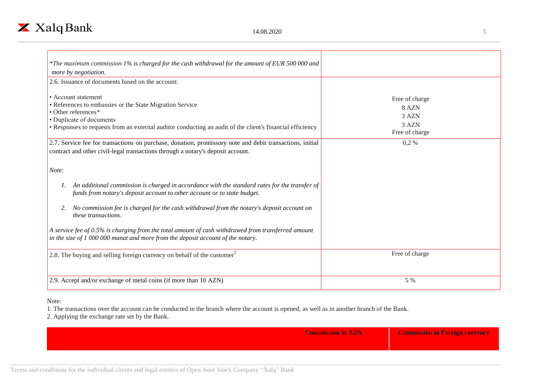

| *The maximum commission 1% is charged for the cash withdrawal for the amount of EUR 500 000 and<br>more by negotiation.                                                                                                                         |                                                             |
|-------------------------------------------------------------------------------------------------------------------------------------------------------------------------------------------------------------------------------------------------|-------------------------------------------------------------|
| 2.6. Issuance of documents based on the account:                                                                                                                                                                                                |                                                             |
| • Account statement<br>• References to embassies or the State Migration Service<br>• Other references*<br>• Duplicate of documents<br>• Responses to requests from an external auditor conducting an audit of the client's financial efficiency | Free of charge<br>8 AZN<br>3 AZN<br>3 AZN<br>Free of charge |
| 2.7. Service fee for transactions on purchase, donation, promissory note and debit transactions, initial                                                                                                                                        | $0,2\%$                                                     |
| contract and other civil-legal transactions through a notary's deposit account.                                                                                                                                                                 |                                                             |
| Note:                                                                                                                                                                                                                                           |                                                             |
| An additional commission is charged in accordance with the standard rates for the transfer of<br>1.<br>funds from notary's deposit account to other account or to state budget.                                                                 |                                                             |
| No commission fee is charged for the cash withdrawal from the notary's deposit account on<br>2.<br><i>these transactions.</i>                                                                                                                   |                                                             |
| A service fee of 0.5% is charging from the total amount of cash withdrawed from transferred amount<br>in the size of $1000000$ manat and more from the deposit account of the notary.                                                           |                                                             |
| 2.8. The buying and selling foreign currency on behalf of the customer                                                                                                                                                                          | Free of charge                                              |
| 2.9. Accept and/or exchange of metal coins (if more than 10 AZN)                                                                                                                                                                                | 5 %                                                         |

## Note:

1. The transactions over the account can be conducted in the branch where the account is opened, as well as in another branch of the Bank.

2. Applying the exchange rate set by the Bank.

| <b>Commission in AZN</b> | <b>Commission in Foreign currency</b> |
|--------------------------|---------------------------------------|
|                          |                                       |
|                          |                                       |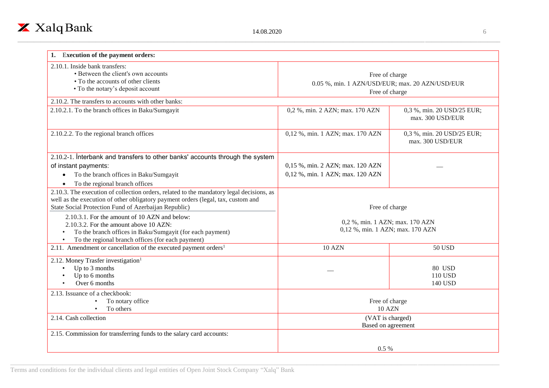| <b>Execution of the payment orders:</b>                                                                                                                                                                                              |                                                                                     |                                                |
|--------------------------------------------------------------------------------------------------------------------------------------------------------------------------------------------------------------------------------------|-------------------------------------------------------------------------------------|------------------------------------------------|
| 2.10.1. Inside bank transfers:<br>• Between the client's own accounts<br>• To the accounts of other clients<br>• To the notary's deposit account                                                                                     | Free of charge<br>0.05 %, min. 1 AZN/USD/EUR; max. 20 AZN/USD/EUR<br>Free of charge |                                                |
| 2.10.2. The transfers to accounts with other banks:                                                                                                                                                                                  |                                                                                     |                                                |
| 2.10.2.1. To the branch offices in Baku/Sumgayit                                                                                                                                                                                     | 0,2 %, min. 2 AZN; max. 170 AZN                                                     | 0,3 %, min. 20 USD/25 EUR;<br>max. 300 USD/EUR |
| 2.10.2.2. To the regional branch offices                                                                                                                                                                                             | 0,12 %, min. 1 AZN; max. 170 AZN                                                    | 0,3 %, min. 20 USD/25 EUR;<br>max. 300 USD/EUR |
| 2.10.2-1. Interbank and transfers to other banks' accounts through the system<br>of instant payments:<br>To the branch offices in Baku/Sumgayit<br>To the regional branch offices                                                    | 0,15 %, min. 2 AZN; max. 120 AZN<br>0,12 %, min. 1 AZN; max. 120 AZN                |                                                |
| 2.10.3. The execution of collection orders, related to the mandatory legal decisions, as<br>well as the execution of other obligatory payment orders (legal, tax, custom and<br>State Social Protection Fund of Azerbaijan Republic) | Free of charge                                                                      |                                                |
| 2.10.3.1. For the amount of 10 AZN and below:<br>2.10.3.2. For the amount above 10 AZN:<br>To the branch offices in Baku/Sumgayit (for each payment)<br>To the regional branch offices (for each payment)                            | 0,2 %, min. 1 AZN; max. 170 AZN<br>0,12 %, min. 1 AZN; max. 170 AZN                 |                                                |
| 2.11. Amendment or cancellation of the executed payment orders <sup>1</sup>                                                                                                                                                          | <b>10 AZN</b>                                                                       | <b>50 USD</b>                                  |
| 2.12. Money Trasfer investigation <sup>1</sup><br>Up to 3 months<br>$\bullet$<br>Up to 6 months<br>Over 6 months                                                                                                                     |                                                                                     | <b>80 USD</b><br>110 USD<br>140 USD            |
| 2.13. Issuance of a checkbook:<br>To notary office<br>To others                                                                                                                                                                      | Free of charge<br><b>10 AZN</b>                                                     |                                                |
| 2.14. Cash collection                                                                                                                                                                                                                | (VAT is charged)<br>Based on agreement                                              |                                                |
| 2.15. Commission for transferring funds to the salary card accounts:                                                                                                                                                                 |                                                                                     |                                                |
|                                                                                                                                                                                                                                      | $0.5\%$                                                                             |                                                |